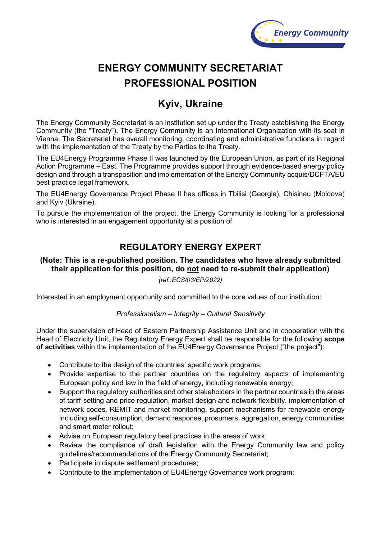

# **ENERGY COMMUNITY SECRETARIAT PROFESSIONAL POSITION**

## **Kyiv, Ukraine**

The Energy Community Secretariat is an institution set up under the Treaty establishing the Energy Community (the "Treaty"). The Energy Community is an International Organization with its seat in Vienna. The Secretariat has overall monitoring, coordinating and administrative functions in regard with the implementation of the Treaty by the Parties to the Treaty.

The EU4Energy Programme Phase II was launched by the European Union, as part of its Regional Action Programme – East. The Programme provides support through evidence-based energy policy design and through a transposition and implementation of the Energy Community acquis/DCFTA/EU best practice legal framework.

The EU4Energy Governance Project Phase II has offices in Tbilisi (Georgia), Chisinau (Moldova) and Kyiv (Ukraine).

To pursue the implementation of the project, the Energy Community is looking for a professional who is interested in an engagement opportunity at a position of

## **REGULATORY ENERGY EXPERT**

### **(Note: This is a re-published position. The candidates who have already submitted their application for this position, do not need to re-submit their application)**

*(ref.:ECS/03/EP/2022)*

Interested in an employment opportunity and committed to the core values of our institution:

#### *Professionalism – Integrity – Cultural Sensitivity*

Under the supervision of Head of Eastern Partnership Assistance Unit and in cooperation with the Head of Electricity Unit, the Regulatory Energy Expert shall be responsible for the following **scope of activities** within the implementation of the EU4Energy Governance Project ("the project"):

- Contribute to the design of the countries' specific work programs;
- Provide expertise to the partner countries on the regulatory aspects of implementing European policy and law in the field of energy, including renewable energy;
- Support the regulatory authorities and other stakeholders in the partner countries in the areas of tariff-setting and price regulation, market design and network flexibility, implementation of network codes, REMIT and market monitoring, support mechanisms for renewable energy including self-consumption, demand response, prosumers, aggregation, energy communities and smart meter rollout;
- Advise on European regulatory best practices in the areas of work;
- Review the compliance of draft legislation with the Energy Community law and policy guidelines/recommendations of the Energy Community Secretariat;
- Participate in dispute settlement procedures;
- Contribute to the implementation of EU4Energy Governance work program;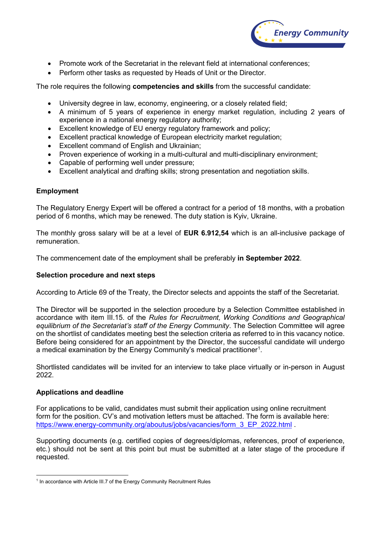

- Promote work of the Secretariat in the relevant field at international conferences;
- Perform other tasks as requested by Heads of Unit or the Director.

The role requires the following **competencies and skills** from the successful candidate:

- University degree in law, economy, engineering, or a closely related field;
- A minimum of 5 years of experience in energy market regulation, including 2 years of experience in a national energy regulatory authority;
- Excellent knowledge of EU energy regulatory framework and policy;
- Excellent practical knowledge of European electricity market regulation;
- Excellent command of English and Ukrainian;
- Proven experience of working in a multi-cultural and multi-disciplinary environment;
- Capable of performing well under pressure;
- Excellent analytical and drafting skills; strong presentation and negotiation skills.

#### **Employment**

The Regulatory Energy Expert will be offered a contract for a period of 18 months, with a probation period of 6 months, which may be renewed. The duty station is Kyiv, Ukraine.

The monthly gross salary will be at a level of **EUR 6.912,54** which is an all-inclusive package of remuneration.

The commencement date of the employment shall be preferably **in September 2022**.

#### **Selection procedure and next steps**

According to Article 69 of the Treaty, the Director selects and appoints the staff of the Secretariat.

The Director will be supported in the selection procedure by a Selection Committee established in accordance with item III.15. of the *Rules for Recruitment, Working Conditions and Geographical equilibrium of the Secretariat's staff of the Energy Community*. The Selection Committee will agree on the shortlist of candidates meeting best the selection criteria as referred to in this vacancy notice. Before being considered for an appointment by the Director, the successful candidate will undergo a medical examination by the Energy Community's medical practitioner $^{\rm 1}.$  $^{\rm 1}.$  $^{\rm 1}.$ 

Shortlisted candidates will be invited for an interview to take place virtually or in-person in August 2022.

#### **Applications and deadline**

For applications to be valid, candidates must submit their application using online recruitment form for the position. CV's and motivation letters must be attached. The form is available here: https://www.energy-community.org/aboutus/jobs/vacancies/form 3 EP 2022.html .

Supporting documents (e.g. certified copies of degrees/diplomas, references, proof of experience, etc.) should not be sent at this point but must be submitted at a later stage of the procedure if requested.

<span id="page-1-0"></span><sup>&</sup>lt;sup>1</sup> In accordance with Article III.7 of the Energy Community Recruitment Rules